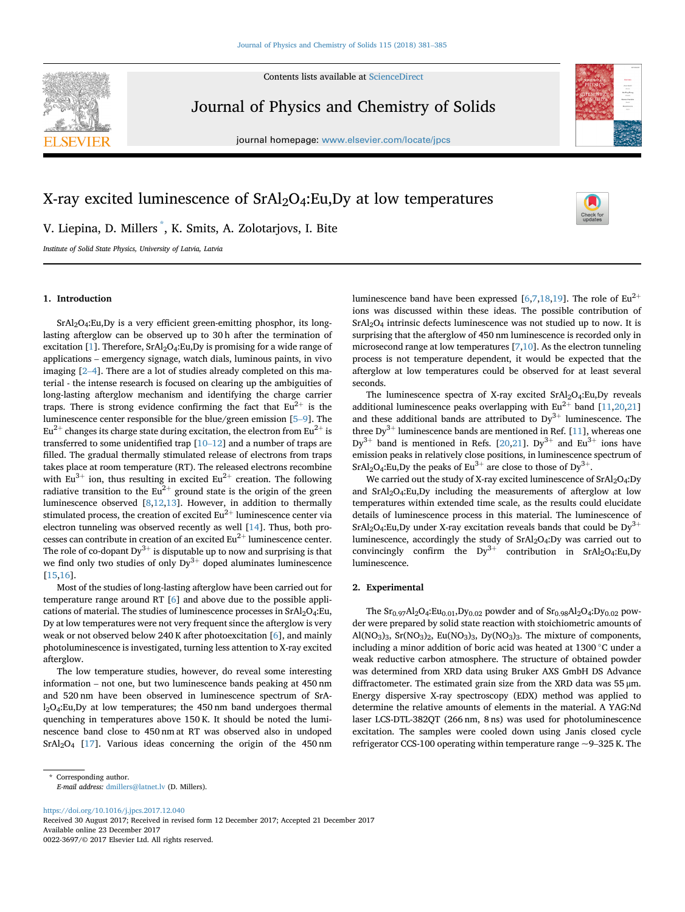

Contents lists available at [ScienceDirect](www.sciencedirect.com/science/journal/00223697)

Journal of Physics and Chemistry of Solids

journal homepage: [www.elsevier.com/locate/jpcs](http://www.elsevier.com/locate/jpcs)



# X-ray excited luminescence of  $SrAl<sub>2</sub>O<sub>4</sub>:Eu,Dy$  at low temperatures

V. Liepina, D. Millers \* , K. Smits, A. Zolotarjovs, I. Bite

Institute of Solid State Physics, University of Latvia, Latvia

# 1. Introduction

SrAl2O4:Eu,Dy is a very efficient green-emitting phosphor, its longlasting afterglow can be observed up to 30 h after the termination of excitation  $[1]$ . Therefore,  $SrAl<sub>2</sub>O<sub>4</sub>:Eu,D<sub>V</sub>$  is promising for a wide range of  $SrAl_2O_4:Eu, Dy$  is a very efficient green-emitting phosphor, its long-<br>lasting afterglow can be observed up to 30 h after the termination of<br>excitation [1]. Therefore,  $SrAl_2O_4:Eu, Dy$  is promising for a wide range of<br>applicat lasting afterglow can be observed up to 30 h after the termination of excitation [1]. Therefore, SrAl<sub>[2](#page-4-0)</sub>O<sub>[4](#page-4-0)</sub>:Eu,Dy is promising for a wide range of applications – emergency signage, watch dials, luminous paints, in vivo im terial - the intense research is focused on clearing up the ambiguities of long-lasting afterglow mechanism and identifying the charge carrier traps. There is strong evidence confirming the fact that  $\mathrm{Eu}^{2+}$  is the terial - the intense research is focused on clearing up the ambiguities of long-lasting afterglow mechanism and identifying the charge carrier traps. There is strong evidence confirming the fact that  $Eu^{2+}$  is the lumine  $Eu^{2+}$  changes its charge state during excitation, the electron from Eu<sup>2+</sup> is luminescence center responsible for the blue/green emission [5–9]. The Eu<sup>2+</sup> changes its charge state during excitation, the electron from Eu<sup>2+</sup> is transferred to some unidentified trap [[10](#page-4-0)–[12](#page-4-0)] and a number of traps are filled. The gradual thermally stimulated release of electrons from traps takes place at room temperature (RT). The released electrons recombine with  $Eu^{3+}$  ion, thus resulting in excited  $Eu^{2+}$  creation. The following radiative transition to the  $Eu^{2+}$  ground state is the origin of the green luminescence observed [[8](#page-4-0),[12,13\]](#page-4-0). However, in addition to thermally stimulated process, the creation of excited  $Eu^{2+}$  luminescence center via electron tunneling was observed recently as well [[14\]](#page-4-0). Thus, both processes can contribute in creation of an excited  $Eu^{2+}$  luminescence center. The role of co-dopant  $Dy^{3+}$  is disputable up to now and surprising is that we find only two studies of only  $Dy^{3+}$  doped aluminates luminescence [[15,16\]](#page-4-0).

Most of the studies of long-lasting afterglow have been carried out for temperature range around RT [[6](#page-4-0)] and above due to the possible applications of material. The studies of luminescence processes in SrAl<sub>2</sub>O<sub>4</sub>:Eu, Dy at low temperatures were not very frequent since the afterglow is very weak or not observed below 240 K after photoexcitation [[6](#page-4-0)], and mainly photoluminescence is investigated, turning less attention to X-ray excited information – not one, but two luminescence bands peaking at 450 nm afterglow.

The low temperature studies, however, do reveal some interesting and 520 nm have been observed in luminescence spectrum of SrA $l_2O_4$ :Eu,Dy at low temperatures; the 450 nm band undergoes thermal quenching in temperatures above 150 K. It should be noted the luminescence band close to 450 nm at RT was observed also in undoped SrAl2O4 [\[17](#page-4-0)]. Various ideas concerning the origin of the 450 nm luminescence band have been expressed [\[6,7](#page-4-0),[18](#page-4-0),[19\]](#page-4-0). The role of  $Eu^{2+}$ ions was discussed within these ideas. The possible contribution of SrAl2O4 intrinsic defects luminescence was not studied up to now. It is surprising that the afterglow of 450 nm luminescence is recorded only in microsecond range at low temperatures [\[7,10\]](#page-4-0). As the electron tunneling process is not temperature dependent, it would be expected that the afterglow at low temperatures could be observed for at least several seconds.

The luminescence spectra of X-ray excited  $SrAl<sub>2</sub>O<sub>4</sub>:Eu,Dy$  reveals additional luminescence peaks overlapping with  $Eu^{2+}$  band [\[11,20,21](#page-4-0)] and these additional bands are attributed to  $Dy^{3+}$  luminescence. The three  $Dy^{3+}$  luminescence bands are mentioned in Ref. [[11\]](#page-4-0), whereas one  $Dy^{3+}$  band is mentioned in Refs. [\[20](#page-4-0),[21\]](#page-4-0).  $Dy^{3+}$  and  $Eu^{3+}$  ions have emission peaks in relatively close positions, in luminescence spectrum of  $SrAl<sub>2</sub>O<sub>4</sub>:Eu, Dy$  the peaks of Eu<sup>3+</sup> are close to those of Dy<sup>3+</sup>.

We carried out the study of X-ray excited luminescence of SrAl<sub>2</sub>O<sub>4</sub>:Dy and SrAl2O4:Eu,Dy including the measurements of afterglow at low temperatures within extended time scale, as the results could elucidate details of luminescence process in this material. The luminescence of  $SrA<sub>2</sub>O<sub>4</sub>:Eu, Dy$  under X-ray excitation reveals bands that could be  $Dy<sup>3+</sup>$ luminescence, accordingly the study of SrAl<sub>2</sub>O<sub>4</sub>:Dy was carried out to convincingly confirm the  $Dy^{3+}$  contribution in SrAl<sub>2</sub>O<sub>4</sub>:Eu,Dy luminescence.

# 2. Experimental

The  $Sr_{0.97}Al_2O_4:Eu_{0.01}$ , Dy<sub>0.02</sub> powder and of  $Sr_{0.98}Al_2O_4: Dy_{0.02}$  powder were prepared by solid state reaction with stoichiometric amounts of Al(NO<sub>3</sub>)<sub>3</sub>, Sr(NO<sub>3</sub>)<sub>2</sub>, Eu(NO<sub>3</sub>)<sub>3</sub>, Dy(NO<sub>3</sub>)<sub>3</sub>. The mixture of components, including a minor addition of boric acid was heated at  $1300^{\circ}$ C under a weak reductive carbon atmosphere. The structure of obtained powder was determined from XRD data using Bruker AXS GmbH DS Advance diffractometer. The estimated grain size from the XRD data was 55 μm. Energy dispersive X-ray spectroscopy (EDX) method was applied to determine the relative amounts of elements in the material. A YAG:Nd laser LCS-DTL-382QT (266 nm, 8 ns) was used for photoluminescence excitation. The samples were cooled down using Janis closed cycle determine the relative amounts of elements in the material. A YAG:Nd<br>laser LCS-DTL-382QT (266 nm, 8 ns) was used for photoluminescence<br>excitation. The samples were cooled down using Janis closed cycle<br>refrigerator CCS-100

<https://doi.org/10.1016/j.jpcs.2017.12.040>

Received 30 August 2017; Received in revised form 12 December 2017; Accepted 21 December 2017 Available online 23 December 2017 0022-3697/© 2017 Elsevier Ltd. All rights reserved.

<sup>\*</sup> Corresponding author. E-mail address: [dmillers@latnet.lv](mailto:dmillers@latnet.lv) (D. Millers).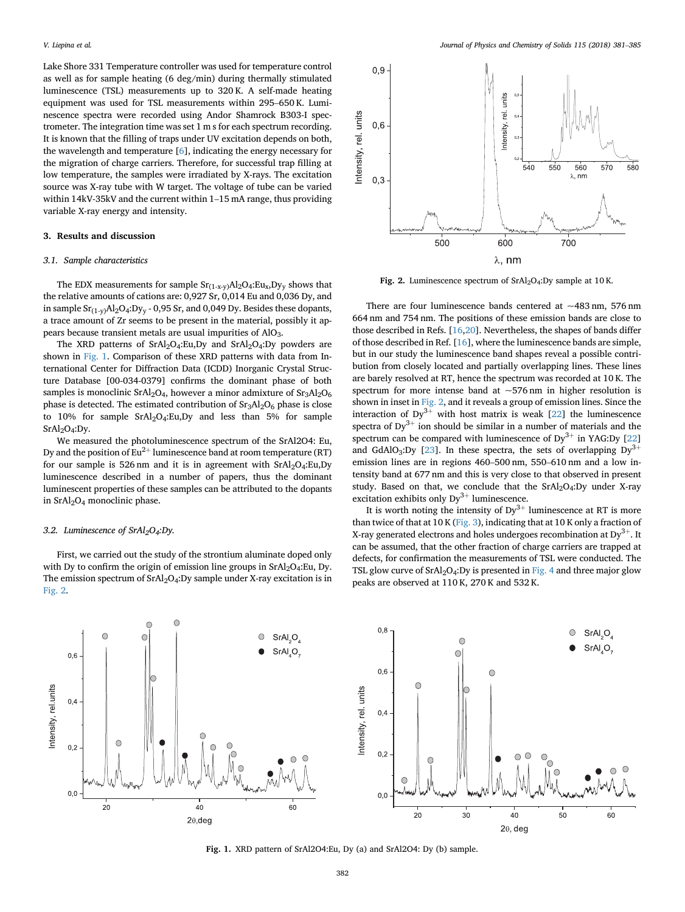Lake Shore 331 Temperature controller was used for temperature control as well as for sample heating (6 deg/min) during thermally stimulated luminescence (TSL) measurements up to 320 K. A self-made heating Lake Shore 331 Temperature controller was used for temperature control<br>as well as for sample heating (6 deg/min) during thermally stimulated<br>luminescence (TSL) measurements up to 320 K. A self-made heating<br>equipment was us nescence spectra were recorded using Andor Shamrock B303-I spectrometer. The integration time was set 1 m s for each spectrum recording. It is known that the filling of traps under UV excitation depends on both, the wavelength and temperature [[6](#page-4-0)], indicating the energy necessary for the migration of charge carriers. Therefore, for successful trap filling at<br>low temperature, the samples were irradiated by X-rays. The excitation<br>source was X-ray tube with W target. The voltage of tube can be varied<br>with low temperature, the samples were irradiated by X-rays. The excitation source was X-ray tube with W target. The voltage of tube can be varied variable X-ray energy and intensity.

## 3. Results and discussion

#### 3.1. Sample characteristics

The EDX measurements for sample  $Sr_{(1-x-y)}Al_2O_4:Eu_x, Dy_y$  shows that the relative amounts of cations are: 0,927 Sr, 0,014 Eu and 0,036 Dy, and in sample  $Sr_{(1-v)}Al_2O_4:Dy_v - 0.95 Sr$ , and 0.049 Dy. Besides these dopants, a trace amount of Zr seems to be present in the material, possibly it appears because transient metals are usual impurities of AlO<sub>3</sub>.

The XRD patterns of  $SrAl<sub>2</sub>O<sub>4</sub>:Eu,Dy$  and  $SrAl<sub>2</sub>O<sub>4</sub>:Dy$  powders are shown in Fig. 1. Comparison of these XRD patterns with data from International Center for Diffraction Data (ICDD) Inorganic Crystal Structure Database [00-034-0379] confirms the dominant phase of both samples is monoclinic SrAl<sub>2</sub>O<sub>4</sub>, however a minor admixture of  $Sr<sub>3</sub>Al<sub>2</sub>O<sub>6</sub>$ phase is detected. The estimated contribution of  $Sr<sub>3</sub>Al<sub>2</sub>O<sub>6</sub>$  phase is close to 10% for sample SrAl2O4:Eu,Dy and less than 5% for sample SrAl<sub>2</sub>O<sub>4</sub>:Dy.

We measured the photoluminescence spectrum of the SrAl2O4: Eu, Dy and the position of  $Eu^{2+}$  luminescence band at room temperature (RT) for our sample is 526 nm and it is in agreement with  $SrAl<sub>2</sub>O<sub>4</sub>:Eu,Dy$ luminescence described in a number of papers, thus the dominant luminescent properties of these samples can be attributed to the dopants in SrAl2O4 monoclinic phase.

## 3.2. Luminescence of SrAl<sub>2</sub>O<sub>4</sub>:Dy.

First, we carried out the study of the strontium aluminate doped only with Dy to confirm the origin of emission line groups in SrAl<sub>2</sub>O<sub>4</sub>:Eu, Dy. The emission spectrum of  $SrAl<sub>2</sub>O<sub>4</sub>:Dy$  sample under X-ray excitation is in Fig. 2.



Fig. 2. Luminescence spectrum of  $SrAl<sub>2</sub>O<sub>4</sub>:Dy$  sample at 10 K.

There are four luminescence bands centered at  $\sim$ 483 nm, 576 nm 664 nm and 754 nm. The positions of these emission bands are close to those described in Refs. [\[16](#page-4-0),[20](#page-4-0)]. Nevertheless, the shapes of bands differ of those described in Ref. [\[16](#page-4-0)], where the luminescence bands are simple, but in our study the luminescence band shapes reveal a possible contribution from closely located and partially overlapping lines. These lines are barely resolved at RT, hence the spectrum was recorded at 10 K. The spectrum for more intense band at  $\sim$  576 nm in higher resolution is shown in inset in Fig. 2, and it reveals a group of emission lines. Since the interaction of  $Dy^{3+}$  with host matrix is weak [[22\]](#page-4-0) the luminescence spectra of  $Dy^{3+}$  ion should be similar in a number of materials and the spectrum can be compared with luminescence of  $Dy^{3+}$  in YAG:Dy [\[22](#page-4-0)] and GdAlO<sub>3</sub>:Dy [\[23](#page-4-0)]. In these spectra, the sets of overlapping  $Dy^{3+}$ spectra of Dy<sup>3+</sup> ion should be similar in a number of materials and the spectrum can be compared with luminescence of Dy<sup>3+</sup> in YAG:Dy [22] and GdAlO<sub>3</sub>:Dy [23]. In these spectra, the sets of overlapping Dy<sup>3+</sup> emission tensity band at 677 nm and this is very close to that observed in present study. Based on that, we conclude that the  $SrAl<sub>2</sub>O<sub>4</sub>:Dy$  under X-ray excitation exhibits only  $Dy^{3+}$  luminescence.

It is worth noting the intensity of  $Dy^{3+}$  luminescence at RT is more than twice of that at 10 K ([Fig. 3\)](#page-2-0), indicating that at 10 K only a fraction of X-ray generated electrons and holes undergoes recombination at  $Dy^{3+}$ . It can be assumed, that the other fraction of charge carriers are trapped at defects, for confirmation the measurements of TSL were conducted. The TSL glow curve of  $SrAl<sub>2</sub>O<sub>4</sub>:Dy$  is presented in [Fig. 4](#page-2-0) and three major glow peaks are observed at 110 K, 270 K and 532 K.



Fig. 1. XRD pattern of SrAl2O4:Eu, Dy (a) and SrAl2O4: Dy (b) sample.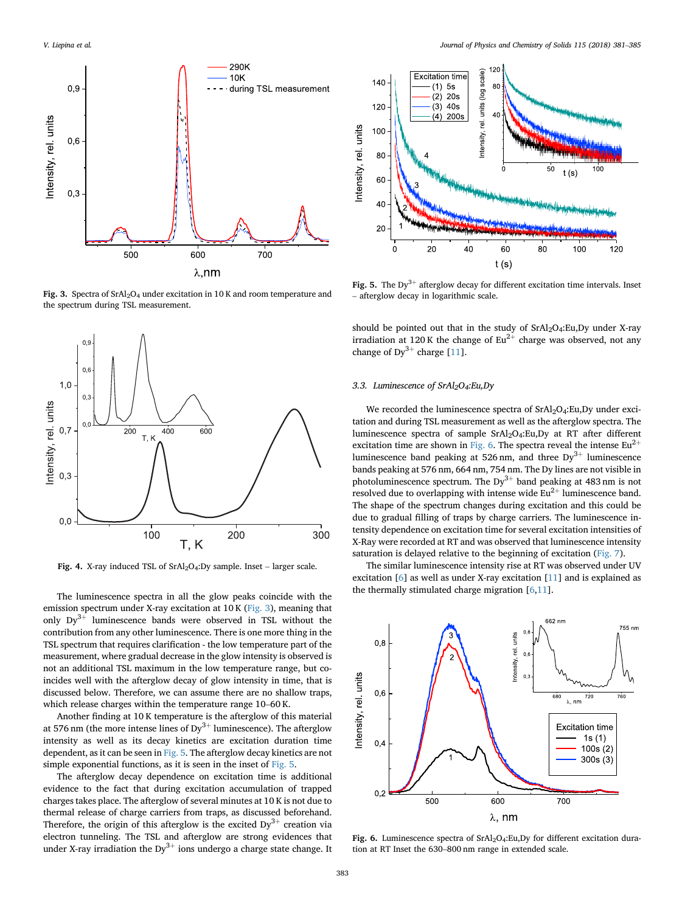<span id="page-2-0"></span>

Fig. 3. Spectra of  $SrAl<sub>2</sub>O<sub>4</sub>$  under excitation in 10 K and room temperature and the spectrum during TSL measurement.



The luminescence spectra in all the glow peaks coincide with the emission spectrum under X-ray excitation at 10 K (Fig. 3), meaning that only  $Dy^{3+}$  luminescence bands were observed in TSL without the contribution from any other luminescence. There is one more thing in the TSL spectrum that requires clarification - the low temperature part of the measurement, where gradual decrease in the glow intensity is observed is not an additional TSL maximum in the low temperature range, but coincides well with the afterglow decay of glow intensity in time, that is discussed below. Therefore, we can assume there are no shallow traps, not an additional TSL maximum in the low temperature range incides well with the afterglow decay of glow intensity in til discussed below. Therefore, we can assume there are no shale which release charges within the temper

Another finding at 10 K temperature is the afterglow of this material at 576 nm (the more intense lines of  $Dy^{3+}$  luminescence). The afterglow intensity as well as its decay kinetics are excitation duration time dependent, as it can be seen in Fig. 5. The afterglow decay kinetics are not simple exponential functions, as it is seen in the inset of Fig. 5.

The afterglow decay dependence on excitation time is additional evidence to the fact that during excitation accumulation of trapped charges takes place. The afterglow of several minutes at 10 K is not due to thermal release of charge carriers from traps, as discussed beforehand. Therefore, the origin of this afterglow is the excited  $Dy^{3+}$  creation via electron tunneling. The TSL and afterglow are strong evidences that under X-ray irradiation the  $Dy^{3+}$  ions undergo a charge state change. It



Fig. 5. The Dy<sup>3+</sup> afterglow decay for different excitation time intervals. Inset - afterglow decay in logarithmic scale.

should be pointed out that in the study of  $SrAl<sub>2</sub>O<sub>4</sub>$ : Eu, Dy under X-ray irradiation at 120 K the change of  $Eu^{2+}$  charge was observed, not any change of  $Dy^{3+}$  charge [[11\]](#page-4-0).

#### 3.3. Luminescence of SrAl2O4:Eu,Dy

We recorded the luminescence spectra of  $SrA<sub>12</sub>O<sub>4</sub>$ : Eu, Dy under excitation and during TSL measurement as well as the afterglow spectra. The luminescence spectra of sample SrAl2O4:Eu,Dy at RT after different excitation time are shown in Fig. 6. The spectra reveal the intense  $Eu^{2+}$ luminescence band peaking at 526 nm, and three  $Dy^{3+}$  luminescence bands peaking at 576 nm, 664 nm, 754 nm. The Dy lines are not visible in photoluminescence spectrum. The  $Dy^{3+}$  band peaking at 483 nm is not resolved due to overlapping with intense wide  $Eu^{2+}$  luminescence band. The shape of the spectrum changes during excitation and this could be due to gradual filling of traps by charge carriers. The luminescence intensity dependence on excitation time for several excitation intensities of X-Ray were recorded at RT and was observed that luminescence intensity saturation is delayed relative to the beginning of excitation [\(Fig. 7](#page-3-0)).

The similar luminescence intensity rise at RT was observed under UV excitation [[6](#page-4-0)] as well as under X-ray excitation [[11\]](#page-4-0) and is explained as the thermally stimulated charge migration [[6,11](#page-4-0)].



Fig. 6. Luminescence spectra of  $SrAl<sub>2</sub>O<sub>4</sub>:Eu,Dy$  for different excitation dura-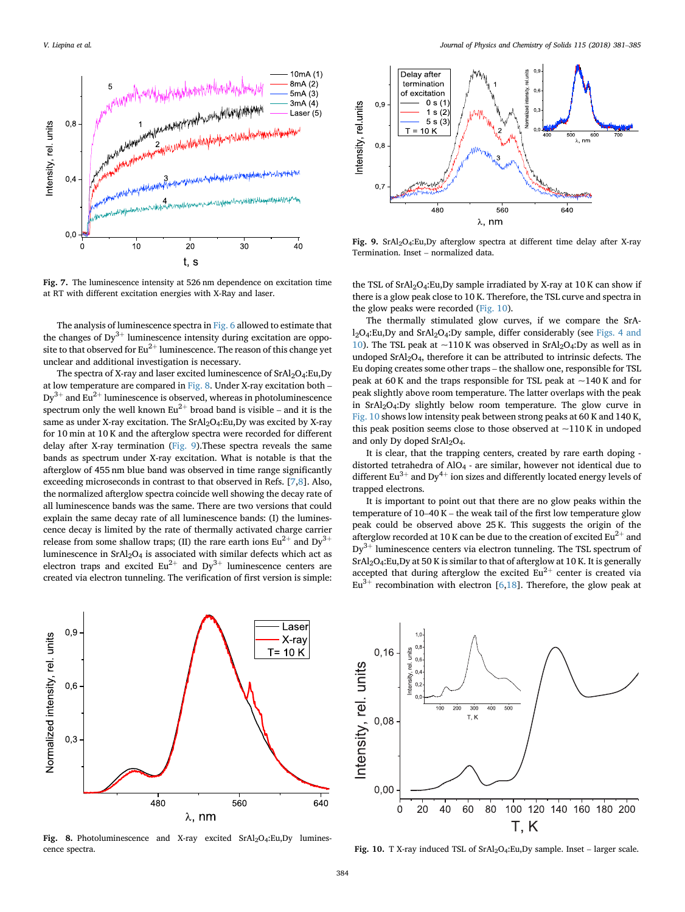<span id="page-3-0"></span>

Fig. 7. The luminescence intensity at 526 nm dependence on excitation time at RT with different excitation energies with X-Ray and laser.

The analysis of luminescence spectra in [Fig. 6](#page-2-0) allowed to estimate that the changes of  $Dy^{3+}$  luminescence intensity during excitation are opposite to that observed for  $Eu^{2+}$  luminescence. The reason of this change yet unclear and additional investigation is necessary.<br>The spectra of X-ray and laser excited luminescence of SrAl<sub>2</sub>O4:Eu,Dy at low temperature ar unclear and additional investigation is necessary.

The spectra of X-ray and laser excited luminescence of SrAl<sub>2</sub>O<sub>4</sub>:Eu,Dy  $Dy^{3+}$  and Eu<sup>2+</sup> luminescence is observed, whereas in photoluminescence at low temperature are compared in Fig. 8. Under X-ray excitation both – Dy<sup>3+</sup> and Eu<sup>2+</sup> luminescence is observed, whereas in photoluminescence spectrum only the well known Eu<sup>2+</sup> broad band is visible – and it is the same as under X-ray excitation. The SrAl<sub>2</sub>O<sub>4</sub>:Eu,Dy was excited by X-ray for 10 min at 10 K and the afterglow spectra were recorded for different delay after X-ray termination (Fig. 9).These spectra reveals the same bands as spectrum under X-ray excitation. What is notable is that the afterglow of 455 nm blue band was observed in time range significantly exceeding microseconds in contrast to that observed in Refs. [[7,8\]](#page-4-0). Also, the normalized afterglow spectra coincide well showing the decay rate of all luminescence bands was the same. There are two versions that could explain the same decay rate of all luminescence bands: (I) the luminescence decay is limited by the rate of thermally activated charge carrier release from some shallow traps; (II) the rare earth ions  $Eu^{2+}$  and  $Dy^{3+}$ luminescence in  $SrA<sub>2</sub>O<sub>4</sub>$  is associated with similar defects which act as electron traps and excited  $Eu^{2+}$  and  $Dy^{3+}$  luminescence centers are created via electron tunneling. The verification of first version is simple:



Fig. 8. Photoluminescence and X-ray excited SrAl<sub>2</sub>O<sub>4</sub>:Eu,Dy luminescence spectra.



Fig. 9.  $SrAl<sub>2</sub>O<sub>4</sub>:Eu,Dy$  afterglow spectra at different time delay after X-ray

the TSL of  $SrAl<sub>2</sub>O<sub>4</sub>:Eu,Dy$  sample irradiated by X-ray at 10 K can show if there is a glow peak close to 10 K. Therefore, the TSL curve and spectra in the glow peaks were recorded (Fig. 10).

The thermally stimulated glow curves, if we compare the SrAl2O4:Eu,Dy and SrAl2O4:Dy sample, differ considerably (see [Figs. 4 and](#page-2-0) [10\)](#page-2-0). The TSL peak at  $\sim$ 110 K was observed in SrAl<sub>2</sub>O<sub>4</sub>:Dy as well as in undoped SrAl2O4, therefore it can be attributed to intrinsic defects. The  $12Q_4$ :Eu,Dy and SrAl<sub>2</sub>O<sub>4</sub>:Dy sample, differ considerably (see Figs. 4 and 10). The TSL peak at  $\sim$ 110 K was observed in SrAl<sub>2</sub>O<sub>4</sub>:Dy as well as in undoped SrAl<sub>2</sub>O<sub>4</sub>, therefore it can be attributed to intrinsic de peak at 60 K and the traps responsible for TSL peak at  $\sim$  140 K and for peak slightly above room temperature. The latter overlaps with the peak in  $SrAl<sub>2</sub>O<sub>4</sub>$ : Dy slightly below room temperature. The glow curve in Fig. 10 shows low intensity peak between strong peaks at 60 K and 140 K, this peak position seems close to those observed at  $\sim$ 110 K in undoped and only Dy doped SrAl<sub>2</sub>O<sub>4</sub>.

It is clear, that the trapping centers, created by rare earth doping distorted tetrahedra of AlO4 - are similar, however not identical due to different Eu<sup>3+</sup> and Dy<sup>4+</sup> ion sizes and differently located energy levels of trapped electrons.<br>It is important to point out that there are no glow peaks within the temperature of 10–40 K – the weak tail of the first lo trapped electrons.

It is important to point out that there are no glow peaks within the peak could be observed above 25 K. This suggests the origin of the afterglow recorded at 10 K can be due to the creation of excited  $Eu^{2+}$  and  $Dy^{3+}$  luminescence centers via electron tunneling. The TSL spectrum of SrAl2O4:Eu,Dy at 50 K is similar to that of afterglow at 10 K. It is generally accepted that during afterglow the excited  $Eu^{2+}$  center is created via  $Eu^{3+}$  recombination with electron [[6](#page-4-0),[18\]](#page-4-0). Therefore, the glow peak at